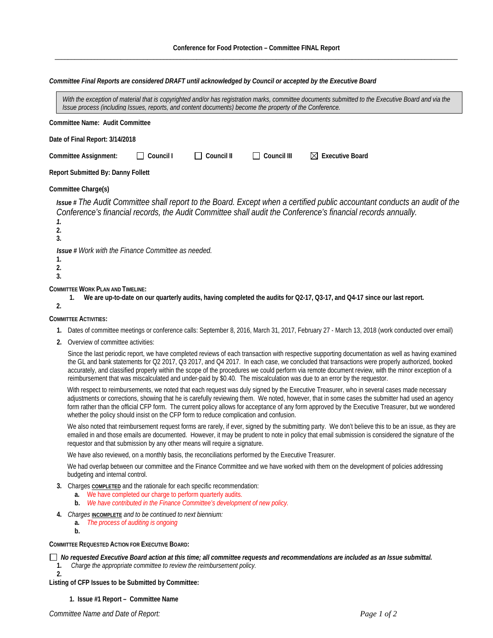*Committee Final Reports are considered DRAFT until acknowledged by Council or accepted by the Executive Board*

|                | With the exception of material that is copyrighted and/or has registration marks, committee documents submitted to the Executive Board and via the                                                                                                                                                                                                                                                                                                                                                                                                                               |
|----------------|----------------------------------------------------------------------------------------------------------------------------------------------------------------------------------------------------------------------------------------------------------------------------------------------------------------------------------------------------------------------------------------------------------------------------------------------------------------------------------------------------------------------------------------------------------------------------------|
|                | Issue process (including Issues, reports, and content documents) become the property of the Conference.                                                                                                                                                                                                                                                                                                                                                                                                                                                                          |
|                | Committee Name: Audit Committee                                                                                                                                                                                                                                                                                                                                                                                                                                                                                                                                                  |
|                | Date of Final Report: 3/14/2018                                                                                                                                                                                                                                                                                                                                                                                                                                                                                                                                                  |
|                | Council I<br>Council II<br>Council III<br>$\boxtimes$ Executive Board<br>Committee Assignment:                                                                                                                                                                                                                                                                                                                                                                                                                                                                                   |
|                | <b>Report Submitted By: Danny Follett</b>                                                                                                                                                                                                                                                                                                                                                                                                                                                                                                                                        |
|                | Committee Charge(s)                                                                                                                                                                                                                                                                                                                                                                                                                                                                                                                                                              |
| 1.<br>2.<br>3. | Issue # The Audit Committee shall report to the Board. Except when a certified public accountant conducts an audit of the<br>Conference's financial records, the Audit Committee shall audit the Conference's financial records annually.                                                                                                                                                                                                                                                                                                                                        |
| 1.<br>2.<br>3. | Issue # Work with the Finance Committee as needed.                                                                                                                                                                                                                                                                                                                                                                                                                                                                                                                               |
| 2.             | <b>COMMITTEE WORK PLAN AND TIMELINE:</b><br>We are up-to-date on our quarterly audits, having completed the audits for Q2-17, Q3-17, and Q4-17 since our last report.<br>1.                                                                                                                                                                                                                                                                                                                                                                                                      |
|                | <b>COMMITTEE ACTIVITIES:</b>                                                                                                                                                                                                                                                                                                                                                                                                                                                                                                                                                     |
| 1.             | Dates of committee meetings or conference calls: September 8, 2016, March 31, 2017, February 27 - March 13, 2018 (work conducted over email)                                                                                                                                                                                                                                                                                                                                                                                                                                     |
| 2.             | Overview of committee activities:                                                                                                                                                                                                                                                                                                                                                                                                                                                                                                                                                |
|                | Since the last periodic report, we have completed reviews of each transaction with respective supporting documentation as well as having examined<br>the GL and bank statements for Q2 2017, Q3 2017, and Q4 2017. In each case, we concluded that transactions were properly authorized, booked<br>accurately, and classified properly within the scope of the procedures we could perform via remote document review, with the minor exception of a<br>reimbursement that was miscalculated and under-paid by \$0.40. The miscalculation was due to an error by the requestor. |
|                | With respect to reimbursements, we noted that each request was duly signed by the Executive Treasurer, who in several cases made necessary<br>adjustments or corrections, showing that he is carefully reviewing them. We noted, however, that in some cases the submitter had used an agency<br>form rather than the official CFP form. The current policy allows for acceptance of any form approved by the Executive Treasurer, but we wondered<br>whether the policy should insist on the CFP form to reduce complication and confusion.                                     |
|                | We also noted that reimbursement request forms are rarely, if ever, signed by the submitting party. We don't believe this to be an issue, as they are<br>emailed in and those emails are documented. However, it may be prudent to note in policy that email submission is considered the signature of the<br>requestor and that submission by any other means will require a signature.                                                                                                                                                                                         |
|                | We have also reviewed, on a monthly basis, the reconciliations performed by the Executive Treasurer.                                                                                                                                                                                                                                                                                                                                                                                                                                                                             |
|                | We had overlap between our committee and the Finance Committee and we have worked with them on the development of policies addressing<br>budgeting and internal control.                                                                                                                                                                                                                                                                                                                                                                                                         |
|                | 3. Charges <b>COMPLETED</b> and the rationale for each specific recommendation:                                                                                                                                                                                                                                                                                                                                                                                                                                                                                                  |

- **a.** We have completed our charge to perform quarterly audits.
- **b.** *We have contributed in the Finance Committee's development of new policy.*
- **4.** *Charges* **INCOMPLETE** *and to be continued to next biennium:* 
	- **a.** *The process of auditing is ongoing*
	- **b.**

**2.**

**COMMITTEE REQUESTED ACTION FOR EXECUTIVE BOARD:**

 *No requested Executive Board action at this time; all committee requests and recommendations are included as an Issue submittal.*  **1.** *Charge the appropriate committee to review the reimbursement policy.*

**Listing of CFP Issues to be Submitted by Committee:**

**1. Issue #1 Report – Committee Name**